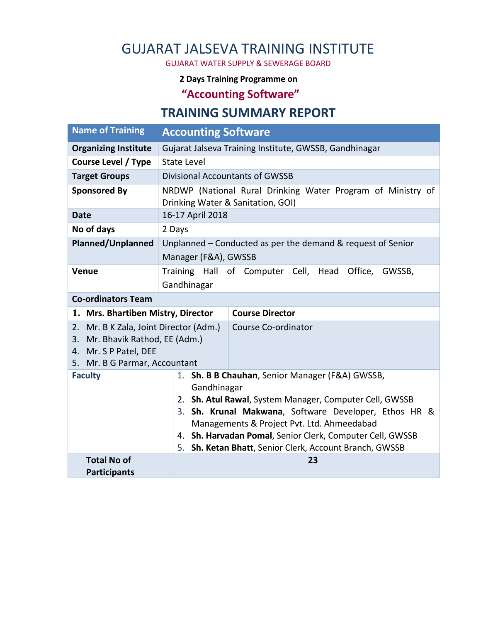## GUJARAT JALSEVA TRAINING INSTITUTE

GUJARAT WATER SUPPLY & SEWERAGE BOARD

## **2 Days Training Programme on**

**"Accounting Software"**

## **TRAINING SUMMARY REPORT**

| <b>Name of Training</b>                                | <b>Accounting Software</b>                                                                                                 |
|--------------------------------------------------------|----------------------------------------------------------------------------------------------------------------------------|
| <b>Organizing Institute</b>                            | Gujarat Jalseva Training Institute, GWSSB, Gandhinagar                                                                     |
| <b>Course Level / Type</b>                             | <b>State Level</b>                                                                                                         |
| <b>Target Groups</b>                                   | <b>Divisional Accountants of GWSSB</b>                                                                                     |
| <b>Sponsored By</b>                                    | NRDWP (National Rural Drinking Water Program of Ministry of<br>Drinking Water & Sanitation, GOI)                           |
| <b>Date</b>                                            | 16-17 April 2018                                                                                                           |
| No of days                                             | 2 Days                                                                                                                     |
| <b>Planned/Unplanned</b>                               | Unplanned - Conducted as per the demand & request of Senior                                                                |
|                                                        | Manager (F&A), GWSSB                                                                                                       |
| Venue                                                  | Training Hall of Computer Cell, Head<br>Office,<br>GWSSB,                                                                  |
|                                                        | Gandhinagar                                                                                                                |
| <b>Co-ordinators Team</b>                              |                                                                                                                            |
| 1. Mrs. Bhartiben Mistry, Director                     | <b>Course Director</b>                                                                                                     |
| Mr. B K Zala, Joint Director (Adm.)<br>2.              | Course Co-ordinator                                                                                                        |
| Mr. Bhavik Rathod, EE (Adm.)<br>3.                     |                                                                                                                            |
| 4. Mr. S P Patel, DEE<br>5. Mr. B G Parmar, Accountant |                                                                                                                            |
| <b>Faculty</b>                                         | Sh. B B Chauhan, Senior Manager (F&A) GWSSB,<br>1.                                                                         |
|                                                        | Gandhinagar                                                                                                                |
|                                                        | 2. Sh. Atul Rawal, System Manager, Computer Cell, GWSSB                                                                    |
|                                                        | Sh. Krunal Makwana, Software Developer, Ethos HR &<br>3.                                                                   |
|                                                        | Managements & Project Pvt. Ltd. Ahmeedabad                                                                                 |
|                                                        | Sh. Harvadan Pomal, Senior Clerk, Computer Cell, GWSSB<br>4.<br>Sh. Ketan Bhatt, Senior Clerk, Account Branch, GWSSB<br>5. |
| <b>Total No of</b>                                     | 23                                                                                                                         |
| <b>Participants</b>                                    |                                                                                                                            |